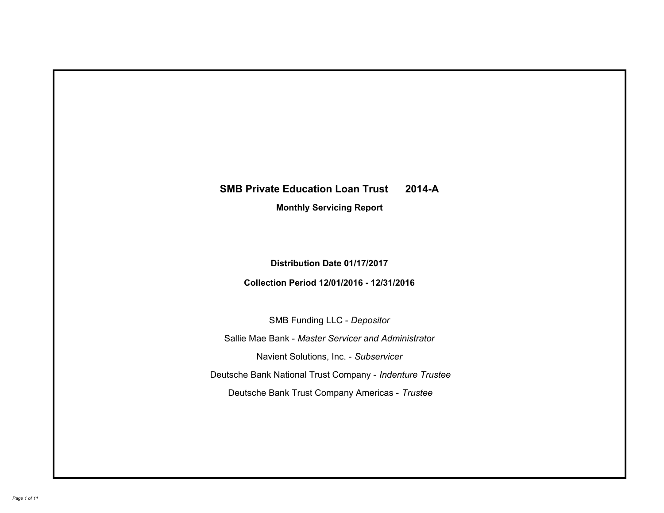# **SMB Private Education Loan Trust 2014-A Monthly Servicing Report**

**Distribution Date 01/17/2017**

**Collection Period 12/01/2016 - 12/31/2016**

SMB Funding LLC - *Depositor*

Sallie Mae Bank - *Master Servicer and Administrator*

Navient Solutions, Inc. - *Subservicer*

Deutsche Bank National Trust Company - *Indenture Trustee*

Deutsche Bank Trust Company Americas - *Trustee*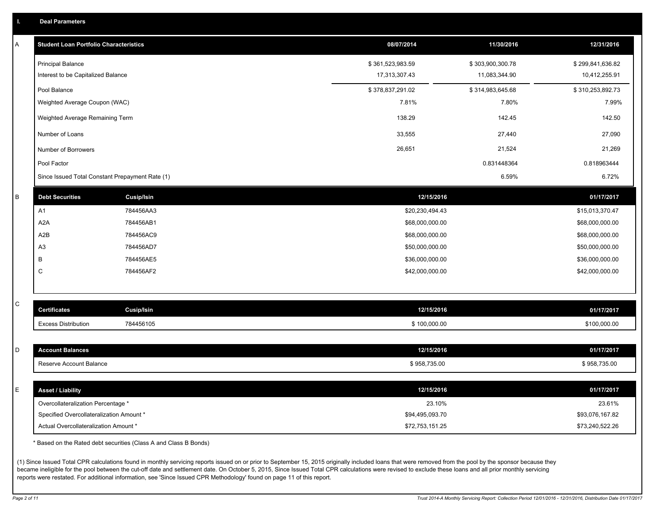|  |  |  | <b>Deal Parameters</b> |  |
|--|--|--|------------------------|--|
|--|--|--|------------------------|--|

| Α | <b>Student Loan Portfolio Characteristics</b>   |                   | 08/07/2014       | 11/30/2016       | 12/31/2016       |
|---|-------------------------------------------------|-------------------|------------------|------------------|------------------|
|   | <b>Principal Balance</b>                        |                   | \$361,523,983.59 | \$303,900,300.78 | \$299,841,636.82 |
|   | Interest to be Capitalized Balance              |                   | 17,313,307.43    | 11,083,344.90    | 10,412,255.91    |
|   | Pool Balance                                    |                   | \$378,837,291.02 | \$314,983,645.68 | \$310,253,892.73 |
|   | Weighted Average Coupon (WAC)                   |                   | 7.81%            | 7.80%            | 7.99%            |
|   | Weighted Average Remaining Term                 |                   | 138.29           | 142.45           | 142.50           |
|   | Number of Loans                                 |                   | 33,555           | 27,440           | 27,090           |
|   | Number of Borrowers                             |                   | 26,651           | 21,524           | 21,269           |
|   | Pool Factor                                     |                   |                  | 0.831448364      | 0.818963444      |
|   | Since Issued Total Constant Prepayment Rate (1) |                   |                  | 6.59%            | 6.72%            |
| В | <b>Debt Securities</b>                          | <b>Cusip/Isin</b> | 12/15/2016       |                  | 01/17/2017       |
|   | A1                                              | 784456AA3         | \$20,230,494.43  |                  | \$15,013,370.47  |
|   | A <sub>2</sub> A                                | 784456AB1         | \$68,000,000.00  |                  | \$68,000,000.00  |
|   | A2B                                             | 784456AC9         | \$68,000,000.00  |                  | \$68,000,000.00  |
|   | A <sub>3</sub>                                  | 784456AD7         | \$50,000,000.00  |                  | \$50,000,000.00  |
|   | В                                               | 784456AE5         | \$36,000,000.00  |                  | \$36,000,000.00  |
|   | C                                               | 784456AF2         | \$42,000,000.00  |                  | \$42,000,000.00  |
|   |                                                 |                   |                  |                  |                  |
| C | <b>Certificates</b>                             | Cusip/Isin        | 12/15/2016       |                  | 01/17/2017       |
|   | <b>Excess Distribution</b>                      | 784456105         | \$100,000.00     |                  | \$100,000.00     |
|   |                                                 |                   |                  |                  |                  |
| D | <b>Account Balances</b>                         |                   | 12/15/2016       |                  | 01/17/2017       |
|   | Reserve Account Balance                         |                   | \$958,735.00     |                  | \$958,735.00     |
| E | <b>Asset / Liability</b>                        |                   | 12/15/2016       |                  | 01/17/2017       |
|   | Overcollateralization Percentage *              |                   | 23.10%           |                  | 23.61%           |
|   | Specified Overcollateralization Amount *        |                   | \$94,495,093.70  |                  | \$93,076,167.82  |
|   | Actual Overcollateralization Amount *           |                   | \$72,753,151.25  |                  | \$73,240,522.26  |
|   |                                                 |                   |                  |                  |                  |

\* Based on the Rated debt securities (Class A and Class B Bonds)

(1) Since Issued Total CPR calculations found in monthly servicing reports issued on or prior to September 15, 2015 originally included loans that were removed from the pool by the sponsor because they became ineligible for the pool between the cut-off date and settlement date. On October 5, 2015, Since Issued Total CPR calculations were revised to exclude these loans and all prior monthly servicing reports were restated. For additional information, see 'Since Issued CPR Methodology' found on page 11 of this report.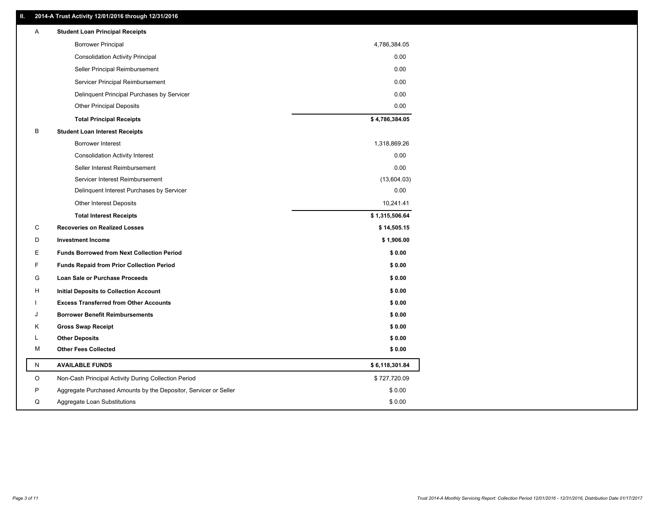## **II. 2014-A Trust Activity 12/01/2016 through 12/31/2016**

| Α         | <b>Student Loan Principal Receipts</b>                           |                |
|-----------|------------------------------------------------------------------|----------------|
|           | <b>Borrower Principal</b>                                        | 4,786,384.05   |
|           | <b>Consolidation Activity Principal</b>                          | 0.00           |
|           | Seller Principal Reimbursement                                   | 0.00           |
|           | Servicer Principal Reimbursement                                 | 0.00           |
|           | Delinquent Principal Purchases by Servicer                       | 0.00           |
|           | <b>Other Principal Deposits</b>                                  | 0.00           |
|           | <b>Total Principal Receipts</b>                                  | \$4,786,384.05 |
| B         | <b>Student Loan Interest Receipts</b>                            |                |
|           | Borrower Interest                                                | 1,318,869.26   |
|           | <b>Consolidation Activity Interest</b>                           | 0.00           |
|           | Seller Interest Reimbursement                                    | 0.00           |
|           | Servicer Interest Reimbursement                                  | (13,604.03)    |
|           | Delinquent Interest Purchases by Servicer                        | 0.00           |
|           | <b>Other Interest Deposits</b>                                   | 10,241.41      |
|           | <b>Total Interest Receipts</b>                                   | \$1,315,506.64 |
| C         | <b>Recoveries on Realized Losses</b>                             | \$14,505.15    |
| D         | <b>Investment Income</b>                                         | \$1,906.00     |
| Е         | <b>Funds Borrowed from Next Collection Period</b>                | \$0.00         |
| F         | <b>Funds Repaid from Prior Collection Period</b>                 | \$0.00         |
| G         | Loan Sale or Purchase Proceeds                                   | \$0.00         |
| н         | Initial Deposits to Collection Account                           | \$0.00         |
|           | <b>Excess Transferred from Other Accounts</b>                    | \$0.00         |
| . I       | <b>Borrower Benefit Reimbursements</b>                           | \$0.00         |
| Κ         | <b>Gross Swap Receipt</b>                                        | \$0.00         |
| L         | <b>Other Deposits</b>                                            | \$0.00         |
| M         | <b>Other Fees Collected</b>                                      | \$0.00         |
| ${\sf N}$ | <b>AVAILABLE FUNDS</b>                                           | \$6,118,301.84 |
| $\circ$   | Non-Cash Principal Activity During Collection Period             | \$727,720.09   |
| P         | Aggregate Purchased Amounts by the Depositor, Servicer or Seller | \$0.00         |
| Q         | Aggregate Loan Substitutions                                     | \$0.00         |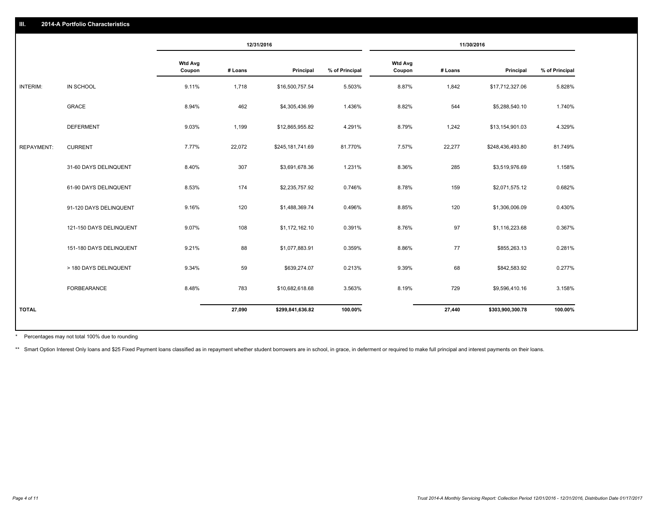|                   |                         |                          |         | 12/31/2016       |                | 11/30/2016               |         |                  |                |
|-------------------|-------------------------|--------------------------|---------|------------------|----------------|--------------------------|---------|------------------|----------------|
|                   |                         | <b>Wtd Avg</b><br>Coupon | # Loans | Principal        | % of Principal | <b>Wtd Avg</b><br>Coupon | # Loans | Principal        | % of Principal |
| INTERIM:          | IN SCHOOL               | 9.11%                    | 1,718   | \$16,500,757.54  | 5.503%         | 8.87%                    | 1,842   | \$17,712,327.06  | 5.828%         |
|                   | GRACE                   | 8.94%                    | 462     | \$4,305,436.99   | 1.436%         | 8.82%                    | 544     | \$5,288,540.10   | 1.740%         |
|                   | <b>DEFERMENT</b>        | 9.03%                    | 1,199   | \$12,865,955.82  | 4.291%         | 8.79%                    | 1,242   | \$13,154,901.03  | 4.329%         |
| <b>REPAYMENT:</b> | <b>CURRENT</b>          | 7.77%                    | 22,072  | \$245,181,741.69 | 81.770%        | 7.57%                    | 22,277  | \$248,436,493.80 | 81.749%        |
|                   | 31-60 DAYS DELINQUENT   | 8.40%                    | 307     | \$3,691,678.36   | 1.231%         | 8.36%                    | 285     | \$3,519,976.69   | 1.158%         |
|                   | 61-90 DAYS DELINQUENT   | 8.53%                    | 174     | \$2,235,757.92   | 0.746%         | 8.78%                    | 159     | \$2,071,575.12   | 0.682%         |
|                   | 91-120 DAYS DELINQUENT  | 9.16%                    | 120     | \$1,488,369.74   | 0.496%         | 8.85%                    | 120     | \$1,306,006.09   | 0.430%         |
|                   | 121-150 DAYS DELINQUENT | 9.07%                    | 108     | \$1,172,162.10   | 0.391%         | 8.76%                    | 97      | \$1,116,223.68   | 0.367%         |
|                   | 151-180 DAYS DELINQUENT | 9.21%                    | 88      | \$1,077,883.91   | 0.359%         | 8.86%                    | 77      | \$855,263.13     | 0.281%         |
|                   | > 180 DAYS DELINQUENT   | 9.34%                    | 59      | \$639,274.07     | 0.213%         | 9.39%                    | 68      | \$842,583.92     | 0.277%         |
|                   | FORBEARANCE             | 8.48%                    | 783     | \$10,682,618.68  | 3.563%         | 8.19%                    | 729     | \$9,596,410.16   | 3.158%         |
| <b>TOTAL</b>      |                         |                          | 27,090  | \$299,841,636.82 | 100.00%        |                          | 27,440  | \$303,900,300.78 | 100.00%        |

Percentages may not total 100% due to rounding \*

\*\* Smart Option Interest Only loans and \$25 Fixed Payment loans classified as in repayment whether student borrowers are in school, in grace, in deferment or required to make full principal and interest payments on their l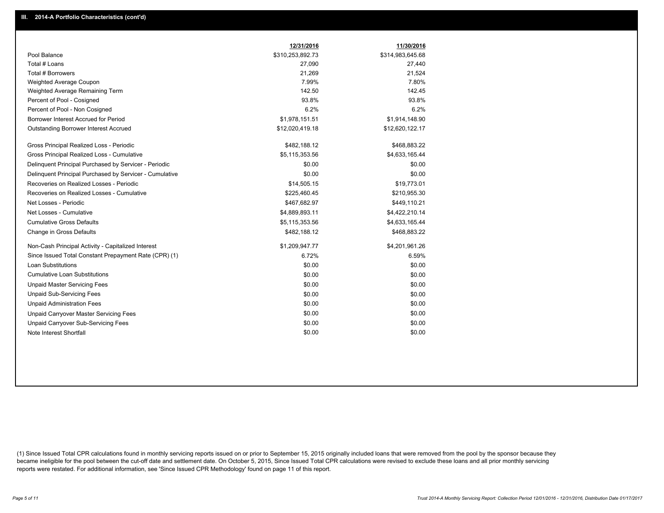|                                                         | 12/31/2016       | 11/30/2016       |
|---------------------------------------------------------|------------------|------------------|
| Pool Balance                                            | \$310,253,892.73 | \$314,983,645.68 |
| Total # Loans                                           | 27,090           | 27,440           |
| Total # Borrowers                                       | 21,269           | 21,524           |
| Weighted Average Coupon                                 | 7.99%            | 7.80%            |
| Weighted Average Remaining Term                         | 142.50           | 142.45           |
| Percent of Pool - Cosigned                              | 93.8%            | 93.8%            |
| Percent of Pool - Non Cosigned                          | 6.2%             | 6.2%             |
| Borrower Interest Accrued for Period                    | \$1,978,151.51   | \$1,914,148.90   |
| Outstanding Borrower Interest Accrued                   | \$12,020,419.18  | \$12,620,122.17  |
| Gross Principal Realized Loss - Periodic                | \$482,188.12     | \$468,883.22     |
| Gross Principal Realized Loss - Cumulative              | \$5,115,353.56   | \$4,633,165.44   |
| Delinquent Principal Purchased by Servicer - Periodic   | \$0.00           | \$0.00           |
| Delinguent Principal Purchased by Servicer - Cumulative | \$0.00           | \$0.00           |
| Recoveries on Realized Losses - Periodic                | \$14,505.15      | \$19,773.01      |
| Recoveries on Realized Losses - Cumulative              | \$225,460.45     | \$210,955.30     |
| Net Losses - Periodic                                   | \$467,682.97     | \$449,110.21     |
| Net Losses - Cumulative                                 | \$4,889,893.11   | \$4,422,210.14   |
| <b>Cumulative Gross Defaults</b>                        | \$5,115,353.56   | \$4,633,165.44   |
| Change in Gross Defaults                                | \$482,188.12     | \$468,883.22     |
| Non-Cash Principal Activity - Capitalized Interest      | \$1,209,947.77   | \$4,201,961.26   |
| Since Issued Total Constant Prepayment Rate (CPR) (1)   | 6.72%            | 6.59%            |
| <b>Loan Substitutions</b>                               | \$0.00           | \$0.00           |
| <b>Cumulative Loan Substitutions</b>                    | \$0.00           | \$0.00           |
| <b>Unpaid Master Servicing Fees</b>                     | \$0.00           | \$0.00           |
| <b>Unpaid Sub-Servicing Fees</b>                        | \$0.00           | \$0.00           |
| <b>Unpaid Administration Fees</b>                       | \$0.00           | \$0.00           |
| Unpaid Carryover Master Servicing Fees                  | \$0.00           | \$0.00           |
| Unpaid Carryover Sub-Servicing Fees                     | \$0.00           | \$0.00           |
| Note Interest Shortfall                                 | \$0.00           | \$0.00           |

(1) Since Issued Total CPR calculations found in monthly servicing reports issued on or prior to September 15, 2015 originally included loans that were removed from the pool by the sponsor because they became ineligible for the pool between the cut-off date and settlement date. On October 5, 2015, Since Issued Total CPR calculations were revised to exclude these loans and all prior monthly servicing reports were restated. For additional information, see 'Since Issued CPR Methodology' found on page 11 of this report.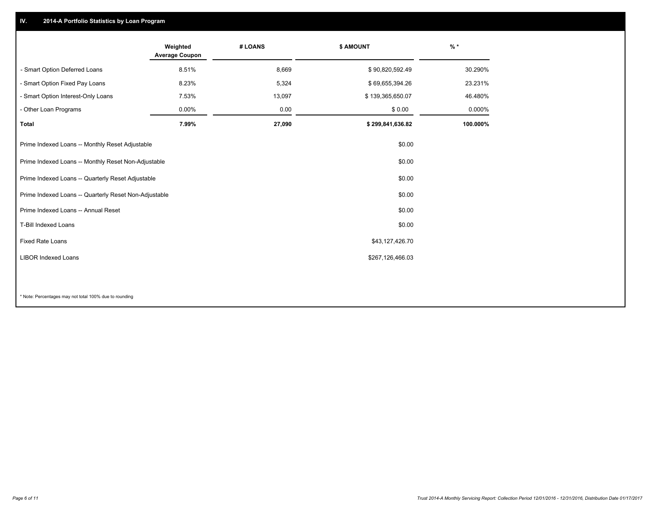## **IV. 2014-A Portfolio Statistics by Loan Program**

|                                                                 | Weighted<br><b>Average Coupon</b>                           | # LOANS | \$ AMOUNT        | $%$ *    |
|-----------------------------------------------------------------|-------------------------------------------------------------|---------|------------------|----------|
| - Smart Option Deferred Loans                                   | 8.51%                                                       | 8,669   | \$90,820,592.49  | 30.290%  |
| - Smart Option Fixed Pay Loans                                  | 8.23%                                                       | 5,324   | \$69,655,394.26  | 23.231%  |
| - Smart Option Interest-Only Loans                              | 7.53%                                                       | 13,097  | \$139,365,650.07 | 46.480%  |
| - Other Loan Programs                                           | 0.00%                                                       | 0.00    | \$0.00           | 0.000%   |
| <b>Total</b>                                                    | 7.99%                                                       | 27,090  | \$299,841,636.82 | 100.000% |
| Prime Indexed Loans -- Monthly Reset Adjustable                 |                                                             |         | \$0.00           |          |
| Prime Indexed Loans -- Monthly Reset Non-Adjustable             |                                                             |         | \$0.00           |          |
|                                                                 | \$0.00<br>Prime Indexed Loans -- Quarterly Reset Adjustable |         |                  |          |
| Prime Indexed Loans -- Quarterly Reset Non-Adjustable<br>\$0.00 |                                                             |         |                  |          |
| Prime Indexed Loans -- Annual Reset                             |                                                             |         | \$0.00           |          |
| T-Bill Indexed Loans                                            |                                                             |         | \$0.00           |          |
| <b>Fixed Rate Loans</b>                                         |                                                             |         | \$43,127,426.70  |          |
| <b>LIBOR Indexed Loans</b>                                      |                                                             |         | \$267,126,466.03 |          |
|                                                                 |                                                             |         |                  |          |

\* Note: Percentages may not total 100% due to rounding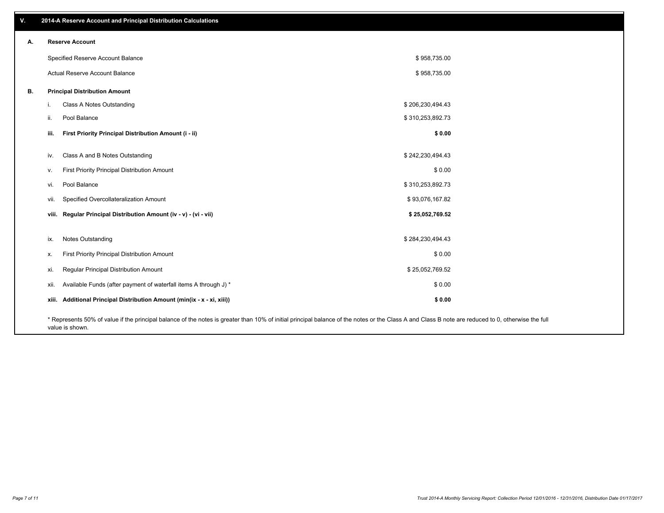| V. |       | 2014-A Reserve Account and Principal Distribution Calculations                                                                                                                                                        |                  |  |
|----|-------|-----------------------------------------------------------------------------------------------------------------------------------------------------------------------------------------------------------------------|------------------|--|
| А. |       | <b>Reserve Account</b>                                                                                                                                                                                                |                  |  |
|    |       | Specified Reserve Account Balance                                                                                                                                                                                     | \$958,735.00     |  |
|    |       | Actual Reserve Account Balance                                                                                                                                                                                        | \$958,735.00     |  |
| В. |       | <b>Principal Distribution Amount</b>                                                                                                                                                                                  |                  |  |
|    | j.    | Class A Notes Outstanding                                                                                                                                                                                             | \$206,230,494.43 |  |
|    | ii.   | Pool Balance                                                                                                                                                                                                          | \$310,253,892.73 |  |
|    | iii.  | First Priority Principal Distribution Amount (i - ii)                                                                                                                                                                 | \$0.00           |  |
|    |       |                                                                                                                                                                                                                       |                  |  |
|    | iv.   | Class A and B Notes Outstanding                                                                                                                                                                                       | \$242,230,494.43 |  |
|    | V.    | First Priority Principal Distribution Amount                                                                                                                                                                          | \$0.00           |  |
|    | vi.   | Pool Balance                                                                                                                                                                                                          | \$310,253,892.73 |  |
|    | vii.  | Specified Overcollateralization Amount                                                                                                                                                                                | \$93,076,167.82  |  |
|    |       | viii. Regular Principal Distribution Amount (iv - v) - (vi - vii)                                                                                                                                                     | \$25,052,769.52  |  |
|    |       |                                                                                                                                                                                                                       |                  |  |
|    | ix.   | Notes Outstanding                                                                                                                                                                                                     | \$284,230,494.43 |  |
|    | х.    | First Priority Principal Distribution Amount                                                                                                                                                                          | \$0.00           |  |
|    | xi.   | Regular Principal Distribution Amount                                                                                                                                                                                 | \$25,052,769.52  |  |
|    | xii.  | Available Funds (after payment of waterfall items A through J) *                                                                                                                                                      | \$0.00           |  |
|    | xiii. | Additional Principal Distribution Amount (min(ix - x - xi, xiii))                                                                                                                                                     | \$0.00           |  |
|    |       | * Represents 50% of value if the principal balance of the notes is greater than 10% of initial principal balance of the notes or the Class A and Class B note are reduced to 0, otherwise the full<br>value is shown. |                  |  |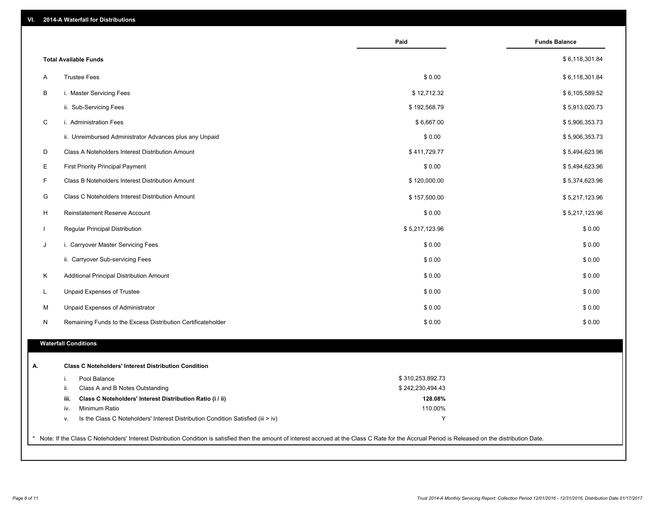| VI. |  | 2014-A Waterfall for Distributions |  |  |  |
|-----|--|------------------------------------|--|--|--|
|-----|--|------------------------------------|--|--|--|

|              |                                                                                        | Paid             | <b>Funds Balance</b> |
|--------------|----------------------------------------------------------------------------------------|------------------|----------------------|
|              | <b>Total Available Funds</b>                                                           |                  | \$6,118,301.84       |
| A            | <b>Trustee Fees</b>                                                                    | \$0.00           | \$6,118,301.84       |
| B            | i. Master Servicing Fees                                                               | \$12,712.32      | \$6,105,589.52       |
|              | ii. Sub-Servicing Fees                                                                 | \$192,568.79     | \$5,913,020.73       |
| $\mathsf C$  | i. Administration Fees                                                                 | \$6,667.00       | \$5,906,353.73       |
|              | ii. Unreimbursed Administrator Advances plus any Unpaid                                | \$0.00           | \$5,906,353.73       |
| D            | Class A Noteholders Interest Distribution Amount                                       | \$411,729.77     | \$5,494,623.96       |
| E            | <b>First Priority Principal Payment</b>                                                | \$0.00           | \$5,494,623.96       |
| F            | Class B Noteholders Interest Distribution Amount                                       | \$120,000.00     | \$5,374,623.96       |
| G            | Class C Noteholders Interest Distribution Amount                                       | \$157,500.00     | \$5,217,123.96       |
| H            | <b>Reinstatement Reserve Account</b>                                                   | \$0.00           | \$5,217,123.96       |
| $\mathbf{I}$ | Regular Principal Distribution                                                         | \$5,217,123.96   | \$0.00               |
| J            | i. Carryover Master Servicing Fees                                                     | \$0.00           | \$0.00               |
|              | ii. Carryover Sub-servicing Fees                                                       | \$0.00           | \$0.00               |
| K            | Additional Principal Distribution Amount                                               | \$0.00           | \$0.00               |
| L            | Unpaid Expenses of Trustee                                                             | \$0.00           | \$0.00               |
| м            | Unpaid Expenses of Administrator                                                       | \$0.00           | \$0.00               |
| N            | Remaining Funds to the Excess Distribution Certificateholder                           | \$0.00           | \$0.00               |
|              |                                                                                        |                  |                      |
|              | <b>Waterfall Conditions</b>                                                            |                  |                      |
|              | <b>Class C Noteholders' Interest Distribution Condition</b>                            |                  |                      |
|              | Pool Balance<br>i.                                                                     | \$310,253,892.73 |                      |
|              | ii.<br>Class A and B Notes Outstanding                                                 | \$242,230,494.43 |                      |
|              | iii.<br>Class C Noteholders' Interest Distribution Ratio (i / ii)                      | 128.08%          |                      |
|              | Minimum Ratio<br>iv.                                                                   | 110.00%          |                      |
|              | Is the Class C Noteholders' Interest Distribution Condition Satisfied (iii > iv)<br>v. | Y                |                      |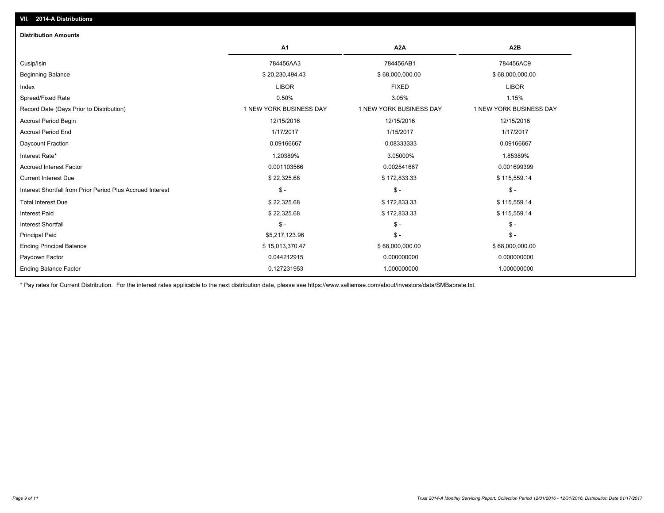| A1                      | A <sub>2</sub> A        | A <sub>2</sub> B        |
|-------------------------|-------------------------|-------------------------|
| 784456AA3               | 784456AB1               | 784456AC9               |
| \$20,230,494.43         | \$68,000,000.00         | \$68,000,000.00         |
| <b>LIBOR</b>            | <b>FIXED</b>            | <b>LIBOR</b>            |
| 0.50%                   | 3.05%                   | 1.15%                   |
| 1 NEW YORK BUSINESS DAY | 1 NEW YORK BUSINESS DAY | 1 NEW YORK BUSINESS DAY |
| 12/15/2016              | 12/15/2016              | 12/15/2016              |
| 1/17/2017               | 1/15/2017               | 1/17/2017               |
| 0.09166667              | 0.08333333              | 0.09166667              |
| 1.20389%                | 3.05000%                | 1.85389%                |
| 0.001103566             | 0.002541667             | 0.001699399             |
| \$22,325.68             | \$172,833.33            | \$115,559.14            |
| $\mathsf{\$}$ -         | $\mathsf{\$}$ -         | $$ -$                   |
| \$22,325.68             | \$172,833.33            | \$115,559.14            |
| \$22,325.68             | \$172,833.33            | \$115,559.14            |
| $\mathsf{\$}$ -         | $\mathsf{\$}$ -         | $\mathsf{\$}$ -         |
| \$5,217,123.96          | $\mathsf{\$}$ -         | $S -$                   |
| \$15,013,370.47         | \$68,000,000.00         | \$68,000,000.00         |
| 0.044212915             | 0.000000000             | 0.000000000             |
| 0.127231953             | 1.000000000             | 1.000000000             |
|                         |                         |                         |

\* Pay rates for Current Distribution. For the interest rates applicable to the next distribution date, please see https://www.salliemae.com/about/investors/data/SMBabrate.txt.

**VII. 2014-A Distributions**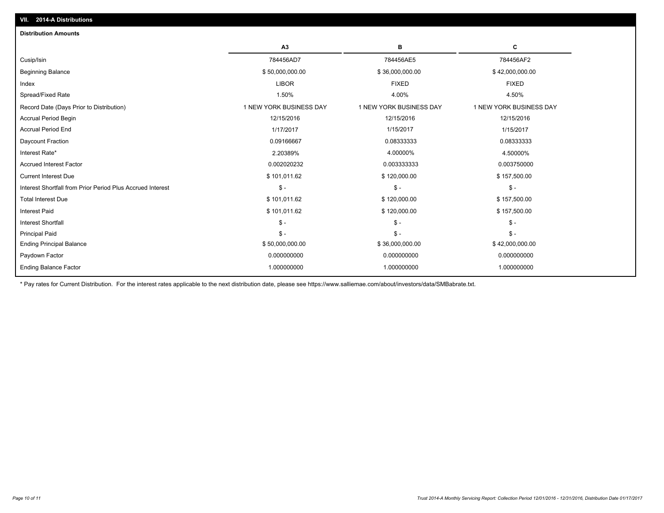| <b>Distribution Amounts</b>                                |                         |                         |                         |
|------------------------------------------------------------|-------------------------|-------------------------|-------------------------|
|                                                            | A3                      | в                       | C                       |
| Cusip/Isin                                                 | 784456AD7               | 784456AE5               | 784456AF2               |
| <b>Beginning Balance</b>                                   | \$50,000,000.00         | \$36,000,000.00         | \$42,000,000.00         |
| Index                                                      | <b>LIBOR</b>            | <b>FIXED</b>            | <b>FIXED</b>            |
| Spread/Fixed Rate                                          | 1.50%                   | 4.00%                   | 4.50%                   |
| Record Date (Days Prior to Distribution)                   | 1 NEW YORK BUSINESS DAY | 1 NEW YORK BUSINESS DAY | 1 NEW YORK BUSINESS DAY |
| <b>Accrual Period Begin</b>                                | 12/15/2016              | 12/15/2016              | 12/15/2016              |
| <b>Accrual Period End</b>                                  | 1/17/2017               | 1/15/2017               | 1/15/2017               |
| Daycount Fraction                                          | 0.09166667              | 0.08333333              | 0.08333333              |
| Interest Rate*                                             | 2.20389%                | 4.00000%                | 4.50000%                |
| <b>Accrued Interest Factor</b>                             | 0.002020232             | 0.003333333             | 0.003750000             |
| <b>Current Interest Due</b>                                | \$101,011.62            | \$120,000.00            | \$157,500.00            |
| Interest Shortfall from Prior Period Plus Accrued Interest | $S -$                   | $$ -$                   | $$ -$                   |
| <b>Total Interest Due</b>                                  | \$101,011.62            | \$120,000.00            | \$157,500.00            |
| <b>Interest Paid</b>                                       | \$101,011.62            | \$120,000.00            | \$157,500.00            |
| <b>Interest Shortfall</b>                                  | $S -$                   | $\mathsf{\$}$ -         | $S -$                   |
| <b>Principal Paid</b>                                      | $S -$                   | $S -$                   | $\mathsf{\$}$ -         |
| <b>Ending Principal Balance</b>                            | \$50,000,000.00         | \$36,000,000.00         | \$42,000,000.00         |
| Paydown Factor                                             | 0.000000000             | 0.000000000             | 0.000000000             |
| <b>Ending Balance Factor</b>                               | 1.000000000             | 1.000000000             | 1.000000000             |
|                                                            |                         |                         |                         |

\* Pay rates for Current Distribution. For the interest rates applicable to the next distribution date, please see https://www.salliemae.com/about/investors/data/SMBabrate.txt.

**VII. 2014-A Distributions**